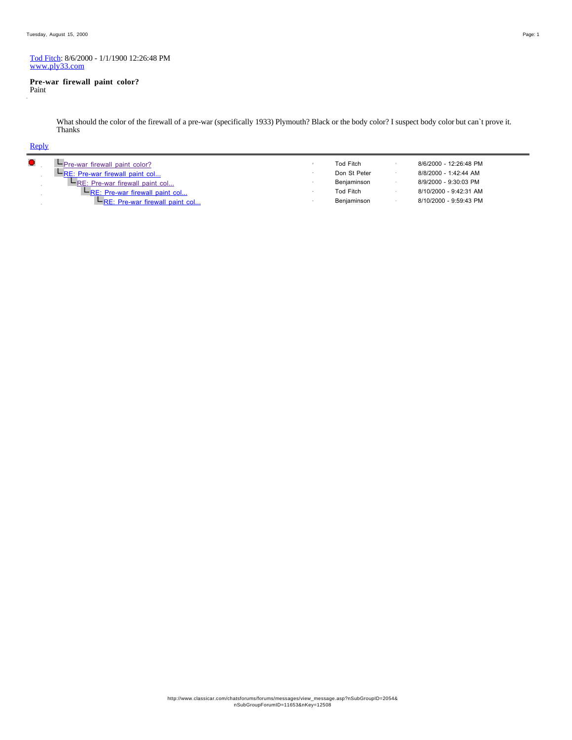#### Tod Fitch: 8/6/2000 - 1/1/1900 12:26:48 PM www.ply33.com

#### **Pre-war firewall paint color?**

Paint

What should the color of the firewall of a pre-war (specifically 1933) Plymouth? Black or the body color? I suspect body color but can`t prove it. Thanks

| <b>L</b> Pre-war firewall paint color?  | Tod Fitch    | 8/6/2000 - 12:26:48 PM |  |
|-----------------------------------------|--------------|------------------------|--|
| <b>HRE:</b> Pre-war firewall paint col  | Don St Peter | 8/8/2000 - 1:42:44 AM  |  |
| $-$ RE: Pre-war firewall paint col      | Benjaminson  | 8/9/2000 - 9:30:03 PM  |  |
| <b>L</b> RE: Pre-war firewall paint col | Tod Fitch    | 8/10/2000 - 9:42:31 AM |  |
| $-$ RE: Pre-war firewall paint col      | Benjaminson  | 8/10/2000 - 9:59:43 PM |  |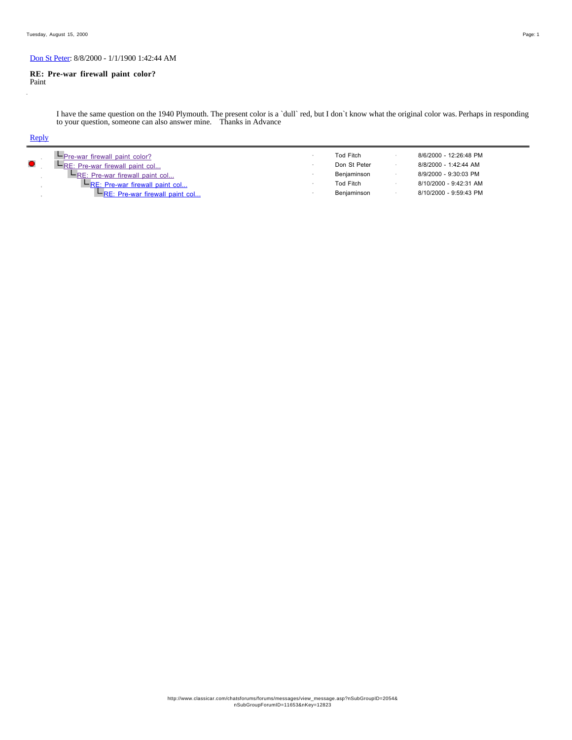## Don St Peter: 8/8/2000 - 1/1/1900 1:42:44 AM

#### **RE: Pre-war firewall paint color?** Paint

I have the same question on the 1940 Plymouth. The present color is a `dull` red, but I don`t know what the original color was. Perhaps in responding to your question, someone can also answer mine. Thanks in Advance

| <b>I-Pre-war firewall paint color?</b><br>$\bullet$<br>$F_{RE}$ : Pre-war firewall paint col<br><b>LRE: Pre-war firewall paint col</b><br><b>L</b> RE: Pre-war firewall paint col<br>$E$ RE: Pre-war firewall paint col |  | <b>Tod Fitch</b><br>Don St Peter<br>Benjaminson<br>Tod Fitch<br>Benjaminson |  | 8/6/2000 - 12:26:48 PM<br>8/8/2000 - 1:42:44 AM<br>8/9/2000 - 9:30:03 PM<br>8/10/2000 - 9:42:31 AM<br>8/10/2000 - 9:59:43 PM |
|-------------------------------------------------------------------------------------------------------------------------------------------------------------------------------------------------------------------------|--|-----------------------------------------------------------------------------|--|------------------------------------------------------------------------------------------------------------------------------|
|-------------------------------------------------------------------------------------------------------------------------------------------------------------------------------------------------------------------------|--|-----------------------------------------------------------------------------|--|------------------------------------------------------------------------------------------------------------------------------|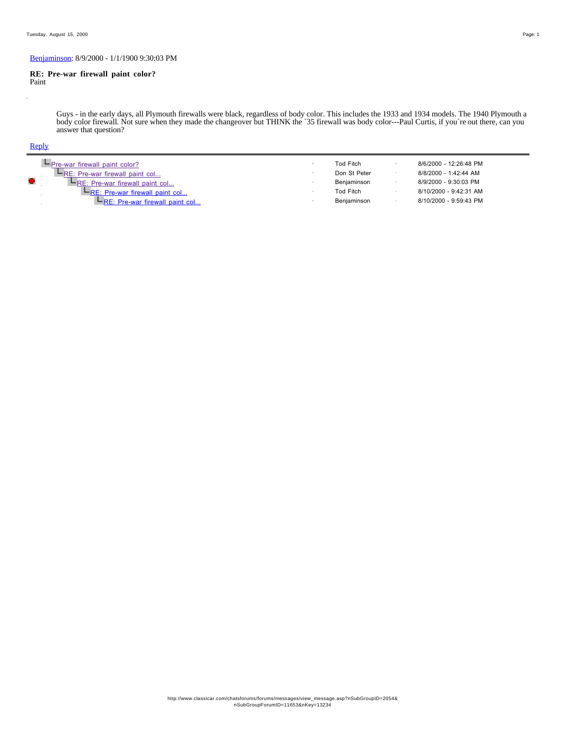## Benjaminson: 8/9/2000 - 1/1/1900 9:30:03 PM

#### **RE: Pre-war firewall paint color?** Paint

Guys - in the early days, all Plymouth firewalls were black, regardless of body color. This includes the 1933 and 1934 models. The 1940 Plymouth a body color firewall. Not sure when they made the changeover but THINK the `35 firewall was body color---Paul Curtis, if you`re out there, can you answer that question?

| $-$ Pre-war firewall paint color?           | Tod Fitch        | 8/6/2000 - 12:26:48 PM |
|---------------------------------------------|------------------|------------------------|
| $F_{RE: Pre-war firewall paint col}$        | Don St Peter     | 8/8/2000 - 1:42:44 AM  |
| <b>L</b> RE: Pre-war firewall paint col     | Benjaminson      | 8/9/2000 - 9:30:03 PM  |
| $E_{\text{RE: Pre-war firewall paint col}}$ | <b>Tod Fitch</b> | 8/10/2000 - 9:42:31 AM |
| $-$ RE: Pre-war firewall paint col          | Benjaminson      | 8/10/2000 - 9:59:43 PM |
|                                             |                  |                        |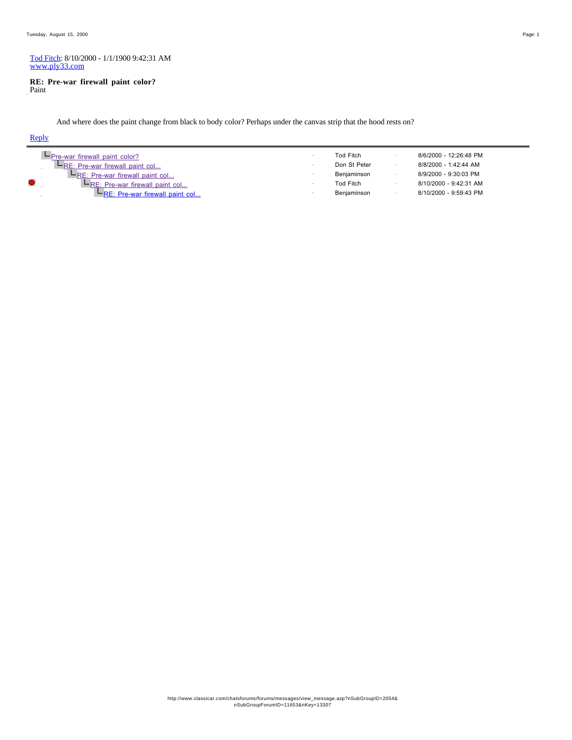#### Tod Fitch: 8/10/2000 - 1/1/1900 9:42:31 AM www.ply33.com

#### **RE: Pre-war firewall paint color?** Paint

And where does the paint change from black to body color? Perhaps under the canvas strip that the hood rests on?

| $-$ Pre-war firewall paint color?       | <b>Tod Fitch</b> | 8/6/2000 - 12:26:48 PM |
|-----------------------------------------|------------------|------------------------|
| $E_{RE: Pre-war firewall paint col}$    | Don St Peter     | 8/8/2000 - 1:42:44 AM  |
| <b>L</b> RE: Pre-war firewall paint col | Benjaminson      | 8/9/2000 - 9:30:03 PM  |
| <b>L</b> RE: Pre-war firewall paint col | Tod Fitch        | 8/10/2000 - 9:42:31 AM |
| $-$ RE: Pre-war firewall paint col      | Benjaminson      | 8/10/2000 - 9:59:43 PM |